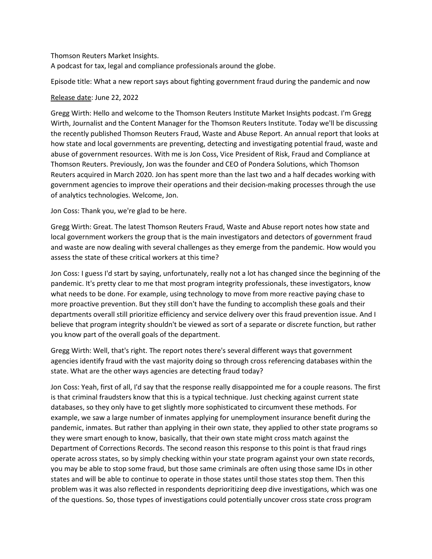## Thomson Reuters Market Insights.

A podcast for tax, legal and compliance professionals around the globe.

Episode title: What a new report says about fighting government fraud during the pandemic and now

## Release date: June 22, 2022

Gregg Wirth: Hello and welcome to the Thomson Reuters Institute Market Insights podcast. I'm Gregg Wirth, Journalist and the Content Manager for the Thomson Reuters Institute. Today we'll be discussing the recently published Thomson Reuters Fraud, Waste and Abuse Report. An annual report that looks at how state and local governments are preventing, detecting and investigating potential fraud, waste and abuse of government resources. With me is Jon Coss, Vice President of Risk, Fraud and Compliance at Thomson Reuters. Previously, Jon was the founder and CEO of Pondera Solutions, which Thomson Reuters acquired in March 2020. Jon has spent more than the last two and a half decades working with government agencies to improve their operations and their decision-making processes through the use of analytics technologies. Welcome, Jon.

## Jon Coss: Thank you, we're glad to be here.

Gregg Wirth: Great. The latest Thomson Reuters Fraud, Waste and Abuse report notes how state and local government workers the group that is the main investigators and detectors of government fraud and waste are now dealing with several challenges as they emerge from the pandemic. How would you assess the state of these critical workers at this time?

Jon Coss: I guess I'd start by saying, unfortunately, really not a lot has changed since the beginning of the pandemic. It's pretty clear to me that most program integrity professionals, these investigators, know what needs to be done. For example, using technology to move from more reactive paying chase to more proactive prevention. But they still don't have the funding to accomplish these goals and their departments overall still prioritize efficiency and service delivery over this fraud prevention issue. And I believe that program integrity shouldn't be viewed as sort of a separate or discrete function, but rather you know part of the overall goals of the department.

Gregg Wirth: Well, that's right. The report notes there's several different ways that government agencies identify fraud with the vast majority doing so through cross referencing databases within the state. What are the other ways agencies are detecting fraud today?

Jon Coss: Yeah, first of all, I'd say that the response really disappointed me for a couple reasons. The first is that criminal fraudsters know that this is a typical technique. Just checking against current state databases, so they only have to get slightly more sophisticated to circumvent these methods. For example, we saw a large number of inmates applying for unemployment insurance benefit during the pandemic, inmates. But rather than applying in their own state, they applied to other state programs so they were smart enough to know, basically, that their own state might cross match against the Department of Corrections Records. The second reason this response to this point is that fraud rings operate across states, so by simply checking within your state program against your own state records, you may be able to stop some fraud, but those same criminals are often using those same IDs in other states and will be able to continue to operate in those states until those states stop them. Then this problem was it was also reflected in respondents deprioritizing deep dive investigations, which was one of the questions. So, those types of investigations could potentially uncover cross state cross program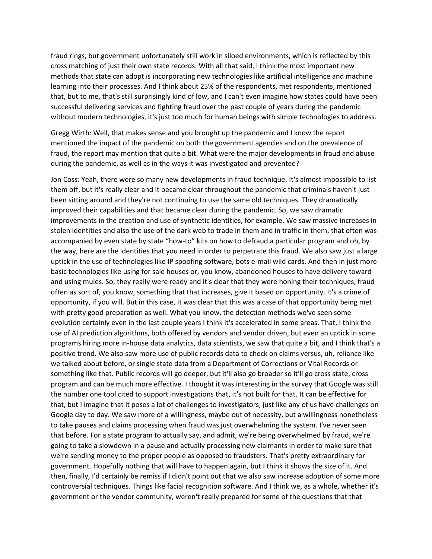fraud rings, but government unfortunately still work in siloed environments, which is reflected by this cross matching of just their own state records. With all that said, I think the most important new methods that state can adopt is incorporating new technologies like artificial intelligence and machine learning into their processes. And I think about 25% of the respondents, met respondents, mentioned that, but to me, that's still surprisingly kind of low, and I can't even imagine how states could have been successful delivering services and fighting fraud over the past couple of years during the pandemic without modern technologies, it's just too much for human beings with simple technologies to address.

Gregg Wirth: Well, that makes sense and you brought up the pandemic and I know the report mentioned the impact of the pandemic on both the government agencies and on the prevalence of fraud, the report may mention that quite a bit. What were the major developments in fraud and abuse during the pandemic, as well as in the ways it was investigated and prevented?

Jon Coss: Yeah, there were so many new developments in fraud technique. It's almost impossible to list them off, but it's really clear and it became clear throughout the pandemic that criminals haven't just been sitting around and they're not continuing to use the same old techniques. They dramatically improved their capabilities and that became clear during the pandemic. So, we saw dramatic improvements in the creation and use of synthetic identities, for example. We saw massive increases in stolen identities and also the use of the dark web to trade in them and in traffic in them, that often was accompanied by even state by state "how-to" kits on how to defraud a particular program and oh, by the way, here are the identities that you need in order to perpetrate this fraud. We also saw just a large uptick in the use of technologies like IP spoofing software, bots e-mail wild cards. And then in just more basic technologies like using for sale houses or, you know, abandoned houses to have delivery toward and using mules. So, they really were ready and it's clear that they were honing their techniques, fraud often as sort of, you know, something that that increases, give it based on opportunity. It's a crime of opportunity, if you will. But in this case, it was clear that this was a case of that opportunity being met with pretty good preparation as well. What you know, the detection methods we've seen some evolution certainly even in the last couple years I think it's accelerated in some areas. That, I think the use of AI prediction algorithms, both offered by vendors and vendor driven, but even an uptick in some programs hiring more in-house data analytics, data scientists, we saw that quite a bit, and I think that's a positive trend. We also saw more use of public records data to check on claims versus, uh, reliance like we talked about before, or single state data from a Department of Corrections or Vital Records or something like that. Public records will go deeper, but it'll also go broader so it'll go cross state, cross program and can be much more effective. I thought it was interesting in the survey that Google was still the number one tool cited to support investigations that, it's not built for that. It can be effective for that, but I imagine that it poses a lot of challenges to investigators, just like any of us have challenges on Google day to day. We saw more of a willingness, maybe out of necessity, but a willingness nonetheless to take pauses and claims processing when fraud was just overwhelming the system. I've never seen that before. For a state program to actually say, and admit, we're being overwhelmed by fraud, we're going to take a slowdown in a pause and actually processing new claimants in order to make sure that we're sending money to the proper people as opposed to fraudsters. That's pretty extraordinary for government. Hopefully nothing that will have to happen again, but I think it shows the size of it. And then, finally, I'd certainly be remiss if I didn't point out that we also saw increase adoption of some more controversial techniques. Things like facial recognition software. And I think we, as a whole, whether it's government or the vendor community, weren't really prepared for some of the questions that that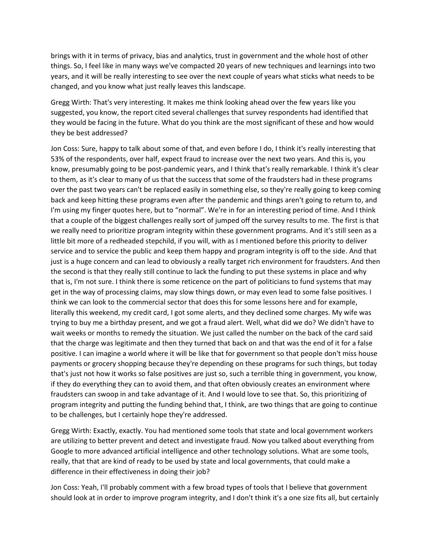brings with it in terms of privacy, bias and analytics, trust in government and the whole host of other things. So, I feel like in many ways we've compacted 20 years of new techniques and learnings into two years, and it will be really interesting to see over the next couple of years what sticks what needs to be changed, and you know what just really leaves this landscape.

Gregg Wirth: That's very interesting. It makes me think looking ahead over the few years like you suggested, you know, the report cited several challenges that survey respondents had identified that they would be facing in the future. What do you think are the most significant of these and how would they be best addressed?

Jon Coss: Sure, happy to talk about some of that, and even before I do, I think it's really interesting that 53% of the respondents, over half, expect fraud to increase over the next two years. And this is, you know, presumably going to be post-pandemic years, and I think that's really remarkable. I think it's clear to them, as it's clear to many of us that the success that some of the fraudsters had in these programs over the past two years can't be replaced easily in something else, so they're really going to keep coming back and keep hitting these programs even after the pandemic and things aren't going to return to, and I'm using my finger quotes here, but to "normal". We're in for an interesting period of time. And I think that a couple of the biggest challenges really sort of jumped off the survey results to me. The first is that we really need to prioritize program integrity within these government programs. And it's still seen as a little bit more of a redheaded stepchild, if you will, with as I mentioned before this priority to deliver service and to service the public and keep them happy and program integrity is off to the side. And that just is a huge concern and can lead to obviously a really target rich environment for fraudsters. And then the second is that they really still continue to lack the funding to put these systems in place and why that is, I'm not sure. I think there is some reticence on the part of politicians to fund systems that may get in the way of processing claims, may slow things down, or may even lead to some false positives. I think we can look to the commercial sector that does this for some lessons here and for example, literally this weekend, my credit card, I got some alerts, and they declined some charges. My wife was trying to buy me a birthday present, and we got a fraud alert. Well, what did we do? We didn't have to wait weeks or months to remedy the situation. We just called the number on the back of the card said that the charge was legitimate and then they turned that back on and that was the end of it for a false positive. I can imagine a world where it will be like that for government so that people don't miss house payments or grocery shopping because they're depending on these programs for such things, but today that's just not how it works so false positives are just so, such a terrible thing in government, you know, if they do everything they can to avoid them, and that often obviously creates an environment where fraudsters can swoop in and take advantage of it. And I would love to see that. So, this prioritizing of program integrity and putting the funding behind that, I think, are two things that are going to continue to be challenges, but I certainly hope they're addressed.

Gregg Wirth: Exactly, exactly. You had mentioned some tools that state and local government workers are utilizing to better prevent and detect and investigate fraud. Now you talked about everything from Google to more advanced artificial intelligence and other technology solutions. What are some tools, really, that that are kind of ready to be used by state and local governments, that could make a difference in their effectiveness in doing their job?

Jon Coss: Yeah, I'll probably comment with a few broad types of tools that I believe that government should look at in order to improve program integrity, and I don't think it's a one size fits all, but certainly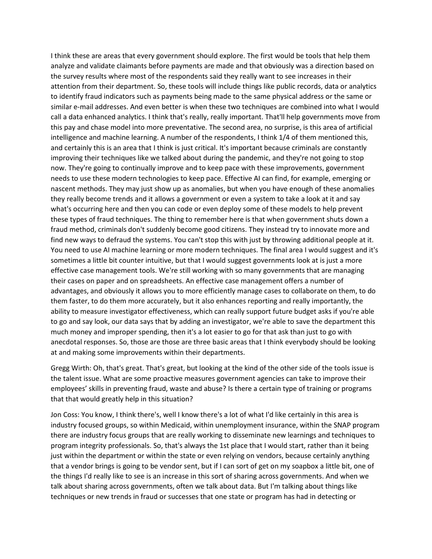I think these are areas that every government should explore. The first would be tools that help them analyze and validate claimants before payments are made and that obviously was a direction based on the survey results where most of the respondents said they really want to see increases in their attention from their department. So, these tools will include things like public records, data or analytics to identify fraud indicators such as payments being made to the same physical address or the same or similar e-mail addresses. And even better is when these two techniques are combined into what I would call a data enhanced analytics. I think that's really, really important. That'll help governments move from this pay and chase model into more preventative. The second area, no surprise, is this area of artificial intelligence and machine learning. A number of the respondents, I think 1/4 of them mentioned this, and certainly this is an area that I think is just critical. It's important because criminals are constantly improving their techniques like we talked about during the pandemic, and they're not going to stop now. They're going to continually improve and to keep pace with these improvements, government needs to use these modern technologies to keep pace. Effective AI can find, for example, emerging or nascent methods. They may just show up as anomalies, but when you have enough of these anomalies they really become trends and it allows a government or even a system to take a look at it and say what's occurring here and then you can code or even deploy some of these models to help prevent these types of fraud techniques. The thing to remember here is that when government shuts down a fraud method, criminals don't suddenly become good citizens. They instead try to innovate more and find new ways to defraud the systems. You can't stop this with just by throwing additional people at it. You need to use AI machine learning or more modern techniques. The final area I would suggest and it's sometimes a little bit counter intuitive, but that I would suggest governments look at is just a more effective case management tools. We're still working with so many governments that are managing their cases on paper and on spreadsheets. An effective case management offers a number of advantages, and obviously it allows you to more efficiently manage cases to collaborate on them, to do them faster, to do them more accurately, but it also enhances reporting and really importantly, the ability to measure investigator effectiveness, which can really support future budget asks if you're able to go and say look, our data says that by adding an investigator, we're able to save the department this much money and improper spending, then it's a lot easier to go for that ask than just to go with anecdotal responses. So, those are those are three basic areas that I think everybody should be looking at and making some improvements within their departments.

Gregg Wirth: Oh, that's great. That's great, but looking at the kind of the other side of the tools issue is the talent issue. What are some proactive measures government agencies can take to improve their employees' skills in preventing fraud, waste and abuse? Is there a certain type of training or programs that that would greatly help in this situation?

Jon Coss: You know, I think there's, well I know there's a lot of what I'd like certainly in this area is industry focused groups, so within Medicaid, within unemployment insurance, within the SNAP program there are industry focus groups that are really working to disseminate new learnings and techniques to program integrity professionals. So, that's always the 1st place that I would start, rather than it being just within the department or within the state or even relying on vendors, because certainly anything that a vendor brings is going to be vendor sent, but if I can sort of get on my soapbox a little bit, one of the things I'd really like to see is an increase in this sort of sharing across governments. And when we talk about sharing across governments, often we talk about data. But I'm talking about things like techniques or new trends in fraud or successes that one state or program has had in detecting or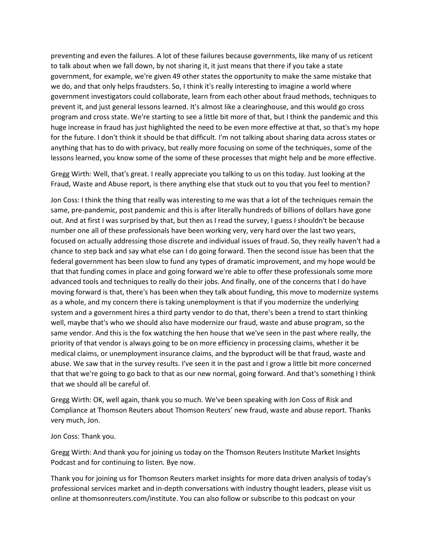preventing and even the failures. A lot of these failures because governments, like many of us reticent to talk about when we fall down, by not sharing it, it just means that there if you take a state government, for example, we're given 49 other states the opportunity to make the same mistake that we do, and that only helps fraudsters. So, I think it's really interesting to imagine a world where government investigators could collaborate, learn from each other about fraud methods, techniques to prevent it, and just general lessons learned. It's almost like a clearinghouse, and this would go cross program and cross state. We're starting to see a little bit more of that, but I think the pandemic and this huge increase in fraud has just highlighted the need to be even more effective at that, so that's my hope for the future. I don't think it should be that difficult. I'm not talking about sharing data across states or anything that has to do with privacy, but really more focusing on some of the techniques, some of the lessons learned, you know some of the some of these processes that might help and be more effective.

Gregg Wirth: Well, that's great. I really appreciate you talking to us on this today. Just looking at the Fraud, Waste and Abuse report, is there anything else that stuck out to you that you feel to mention?

Jon Coss: I think the thing that really was interesting to me was that a lot of the techniques remain the same, pre-pandemic, post pandemic and this is after literally hundreds of billions of dollars have gone out. And at first I was surprised by that, but then as I read the survey, I guess I shouldn't be because number one all of these professionals have been working very, very hard over the last two years, focused on actually addressing those discrete and individual issues of fraud. So, they really haven't had a chance to step back and say what else can I do going forward. Then the second issue has been that the federal government has been slow to fund any types of dramatic improvement, and my hope would be that that funding comes in place and going forward we're able to offer these professionals some more advanced tools and techniques to really do their jobs. And finally, one of the concerns that I do have moving forward is that, there's has been when they talk about funding, this move to modernize systems as a whole, and my concern there is taking unemployment is that if you modernize the underlying system and a government hires a third party vendor to do that, there's been a trend to start thinking well, maybe that's who we should also have modernize our fraud, waste and abuse program, so the same vendor. And this is the fox watching the hen house that we've seen in the past where really, the priority of that vendor is always going to be on more efficiency in processing claims, whether it be medical claims, or unemployment insurance claims, and the byproduct will be that fraud, waste and abuse. We saw that in the survey results. I've seen it in the past and I grow a little bit more concerned that that we're going to go back to that as our new normal, going forward. And that's something I think that we should all be careful of.

Gregg Wirth: OK, well again, thank you so much. We've been speaking with Jon Coss of Risk and Compliance at Thomson Reuters about Thomson Reuters' new fraud, waste and abuse report. Thanks very much, Jon.

## Jon Coss: Thank you.

Gregg Wirth: And thank you for joining us today on the Thomson Reuters Institute Market Insights Podcast and for continuing to listen. Bye now.

Thank you for joining us for Thomson Reuters market insights for more data driven analysis of today's professional services market and in-depth conversations with industry thought leaders, please visit us online at thomsonreuters.com/institute. You can also follow or subscribe to this podcast on your